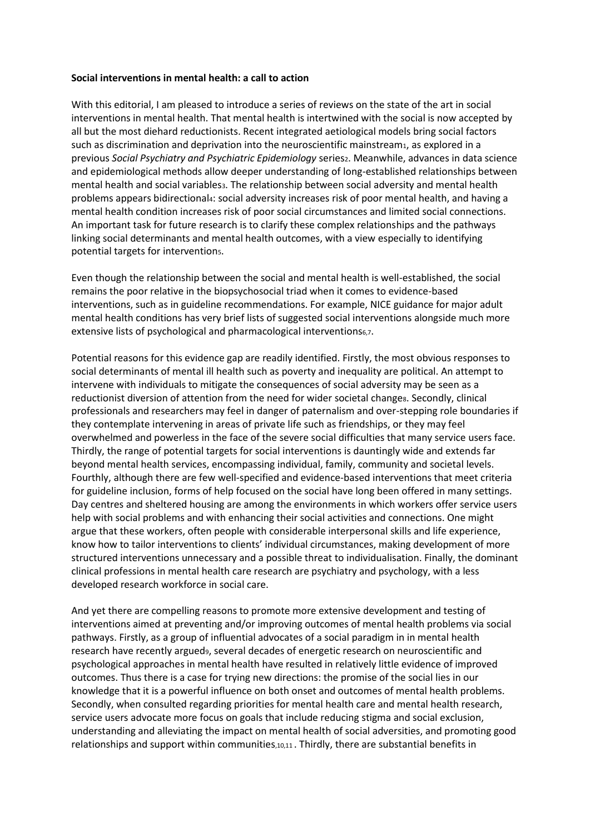## **Social interventions in mental health: a call to action**

With this editorial, I am pleased to introduce a series of reviews on the state of the art in social interventions in mental health. That mental health is intertwined with the social is now accepted by all but the most diehard reductionists. Recent integrated aetiological models bring social factors such as discrimination and deprivation into the neuroscientific mainstream<sub>1</sub>, as explored in a previous *Social Psychiatry and Psychiatric Epidemiology* series2. Meanwhile, advances in data science and epidemiological methods allow deeper understanding of long-established relationships between mental health and social variabless. The relationship between social adversity and mental health problems appears bidirectional4: social adversity increases risk of poor mental health, and having a mental health condition increases risk of poor social circumstances and limited social connections. An important task for future research is to clarify these complex relationships and the pathways linking social determinants and mental health outcomes, with a view especially to identifying potential targets for interventions.

Even though the relationship between the social and mental health is well-established, the social remains the poor relative in the biopsychosocial triad when it comes to evidence-based interventions, such as in guideline recommendations. For example, NICE guidance for major adult mental health conditions has very brief lists of suggested social interventions alongside much more extensive lists of psychological and pharmacological interventions6,7.

Potential reasons for this evidence gap are readily identified. Firstly, the most obvious responses to social determinants of mental ill health such as poverty and inequality are political. An attempt to intervene with individuals to mitigate the consequences of social adversity may be seen as a reductionist diversion of attention from the need for wider societal changes. Secondly, clinical professionals and researchers may feel in danger of paternalism and over-stepping role boundaries if they contemplate intervening in areas of private life such as friendships, or they may feel overwhelmed and powerless in the face of the severe social difficulties that many service users face. Thirdly, the range of potential targets for social interventions is dauntingly wide and extends far beyond mental health services, encompassing individual, family, community and societal levels. Fourthly, although there are few well-specified and evidence-based interventions that meet criteria for guideline inclusion, forms of help focused on the social have long been offered in many settings. Day centres and sheltered housing are among the environments in which workers offer service users help with social problems and with enhancing their social activities and connections. One might argue that these workers, often people with considerable interpersonal skills and life experience, know how to tailor interventions to clients' individual circumstances, making development of more structured interventions unnecessary and a possible threat to individualisation. Finally, the dominant clinical professions in mental health care research are psychiatry and psychology, with a less developed research workforce in social care.

And yet there are compelling reasons to promote more extensive development and testing of interventions aimed at preventing and/or improving outcomes of mental health problems via social pathways. Firstly, as a group of influential advocates of a social paradigm in in mental health research have recently argued, several decades of energetic research on neuroscientific and psychological approaches in mental health have resulted in relatively little evidence of improved outcomes. Thus there is a case for trying new directions: the promise of the social lies in our knowledge that it is a powerful influence on both onset and outcomes of mental health problems. Secondly, when consulted regarding priorities for mental health care and mental health research, service users advocate more focus on goals that include reducing stigma and social exclusion, understanding and alleviating the impact on mental health of social adversities, and promoting good relationships and support within communities,10,11. Thirdly, there are substantial benefits in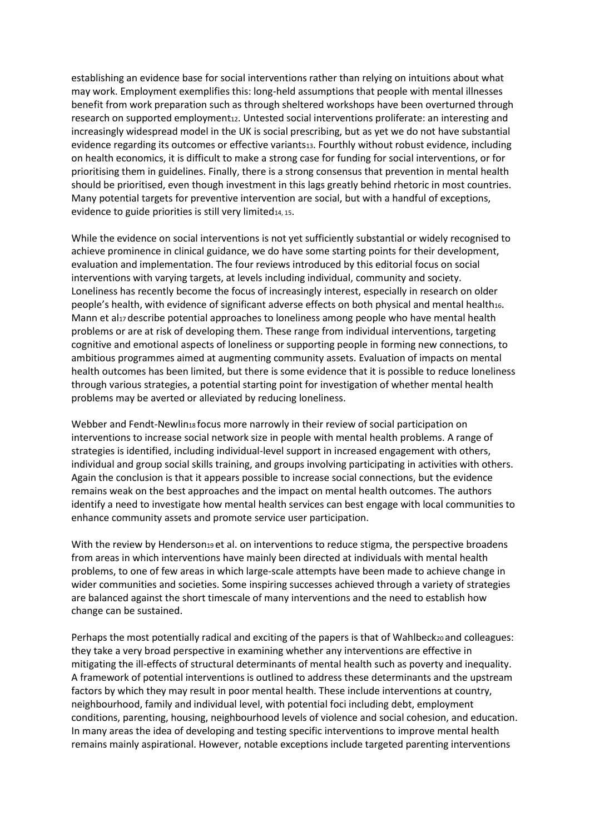establishing an evidence base for social interventions rather than relying on intuitions about what may work. Employment exemplifies this: long-held assumptions that people with mental illnesses benefit from work preparation such as through sheltered workshops have been overturned through research on supported employment12. Untested social interventions proliferate: an interesting and increasingly widespread model in the UK is social prescribing, but as yet we do not have substantial evidence regarding its outcomes or effective variants13. Fourthly without robust evidence, including on health economics, it is difficult to make a strong case for funding for social interventions, or for prioritising them in guidelines. Finally, there is a strong consensus that prevention in mental health should be prioritised, even though investment in this lags greatly behind rhetoric in most countries. Many potential targets for preventive intervention are social, but with a handful of exceptions, evidence to guide priorities is still very limited<sub>14, 15</sub>.

While the evidence on social interventions is not yet sufficiently substantial or widely recognised to achieve prominence in clinical guidance, we do have some starting points for their development, evaluation and implementation. The four reviews introduced by this editorial focus on social interventions with varying targets, at levels including individual, community and society. Loneliness has recently become the focus of increasingly interest, especially in research on older people's health, with evidence of significant adverse effects on both physical and mental health16. Mann et al17 describe potential approaches to loneliness among people who have mental health problems or are at risk of developing them. These range from individual interventions, targeting cognitive and emotional aspects of loneliness or supporting people in forming new connections, to ambitious programmes aimed at augmenting community assets. Evaluation of impacts on mental health outcomes has been limited, but there is some evidence that it is possible to reduce loneliness through various strategies, a potential starting point for investigation of whether mental health problems may be averted or alleviated by reducing loneliness.

Webber and Fendt-Newlin18 focus more narrowly in their review of social participation on interventions to increase social network size in people with mental health problems. A range of strategies is identified, including individual-level support in increased engagement with others, individual and group social skills training, and groups involving participating in activities with others. Again the conclusion is that it appears possible to increase social connections, but the evidence remains weak on the best approaches and the impact on mental health outcomes. The authors identify a need to investigate how mental health services can best engage with local communities to enhance community assets and promote service user participation.

With the review by Henderson19 et al. on interventions to reduce stigma, the perspective broadens from areas in which interventions have mainly been directed at individuals with mental health problems, to one of few areas in which large-scale attempts have been made to achieve change in wider communities and societies. Some inspiring successes achieved through a variety of strategies are balanced against the short timescale of many interventions and the need to establish how change can be sustained.

Perhaps the most potentially radical and exciting of the papers is that of Wahlbeck<sub>20</sub> and colleagues: they take a very broad perspective in examining whether any interventions are effective in mitigating the ill-effects of structural determinants of mental health such as poverty and inequality. A framework of potential interventions is outlined to address these determinants and the upstream factors by which they may result in poor mental health. These include interventions at country, neighbourhood, family and individual level, with potential foci including debt, employment conditions, parenting, housing, neighbourhood levels of violence and social cohesion, and education. In many areas the idea of developing and testing specific interventions to improve mental health remains mainly aspirational. However, notable exceptions include targeted parenting interventions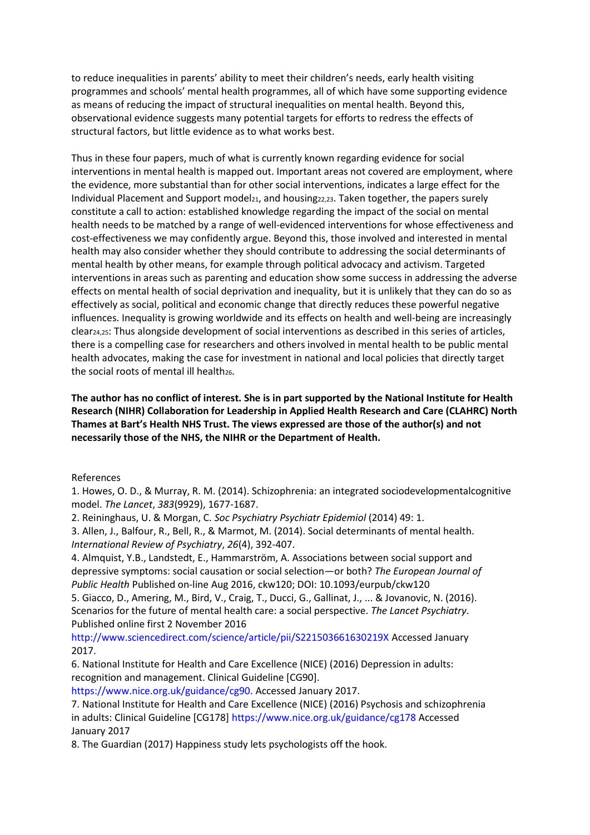to reduce inequalities in parents' ability to meet their children's needs, early health visiting programmes and schools' mental health programmes, all of which have some supporting evidence as means of reducing the impact of structural inequalities on mental health. Beyond this, observational evidence suggests many potential targets for efforts to redress the effects of structural factors, but little evidence as to what works best.

Thus in these four papers, much of what is currently known regarding evidence for social interventions in mental health is mapped out. Important areas not covered are employment, where the evidence, more substantial than for other social interventions, indicates a large effect for the Individual Placement and Support model21, and housing22,23. Taken together, the papers surely constitute a call to action: established knowledge regarding the impact of the social on mental health needs to be matched by a range of well-evidenced interventions for whose effectiveness and cost-effectiveness we may confidently argue. Beyond this, those involved and interested in mental health may also consider whether they should contribute to addressing the social determinants of mental health by other means, for example through political advocacy and activism. Targeted interventions in areas such as parenting and education show some success in addressing the adverse effects on mental health of social deprivation and inequality, but it is unlikely that they can do so as effectively as social, political and economic change that directly reduces these powerful negative influences. Inequality is growing worldwide and its effects on health and well-being are increasingly clear24,25: Thus alongside development of social interventions as described in this series of articles, there is a compelling case for researchers and others involved in mental health to be public mental health advocates, making the case for investment in national and local policies that directly target the social roots of mental ill health<sub>26</sub>.

## **The author has no conflict of interest. She is in part supported by the National Institute for Health Research (NIHR) Collaboration for Leadership in Applied Health Research and Care (CLAHRC) North Thames at Bart's Health NHS Trust. The views expressed are those of the author(s) and not necessarily those of the NHS, the NIHR or the Department of Health.**

References

1. Howes, O. D., & Murray, R. M. (2014). Schizophrenia: an integrated sociodevelopmentalcognitive model. *The Lancet*, *383*(9929), 1677-1687.

2. Reininghaus, U. & Morgan, C. *Soc Psychiatry Psychiatr Epidemiol* (2014) 49: 1.

3. Allen, J., Balfour, R., Bell, R., & Marmot, M. (2014). Social determinants of mental health. *International Review of Psychiatry*, *26*(4), 392-407.

4. Almquist, Y.B., Landstedt, E., Hammarström, A. Associations between social support and depressive symptoms: social causation or social selection—or both? *The European Journal of Public Health* Published on-line Aug 2016, ckw120; DOI: 10.1093/eurpub/ckw120

5. Giacco, D., Amering, M., Bird, V., Craig, T., Ducci, G., Gallinat, J., ... & Jovanovic, N. (2016). Scenarios for the future of mental health care: a social perspective. *The Lancet Psychiatry*. Published online first 2 November 2016

http://www.sciencedirect.com/science/article/pii/S221503661630219X Accessed January 2017.

6. National Institute for Health and Care Excellence (NICE) (2016) Depression in adults: recognition and management. Clinical Guideline [CG90].

https://www.nice.org.uk/guidance/cg90. Accessed January 2017.

7. National Institute for Health and Care Excellence (NICE) (2016) Psychosis and schizophrenia in adults: Clinical Guideline [CG178] https://www.nice.org.uk/guidance/cg178 Accessed January 2017

8. The Guardian (2017) Happiness study lets psychologists off the hook.